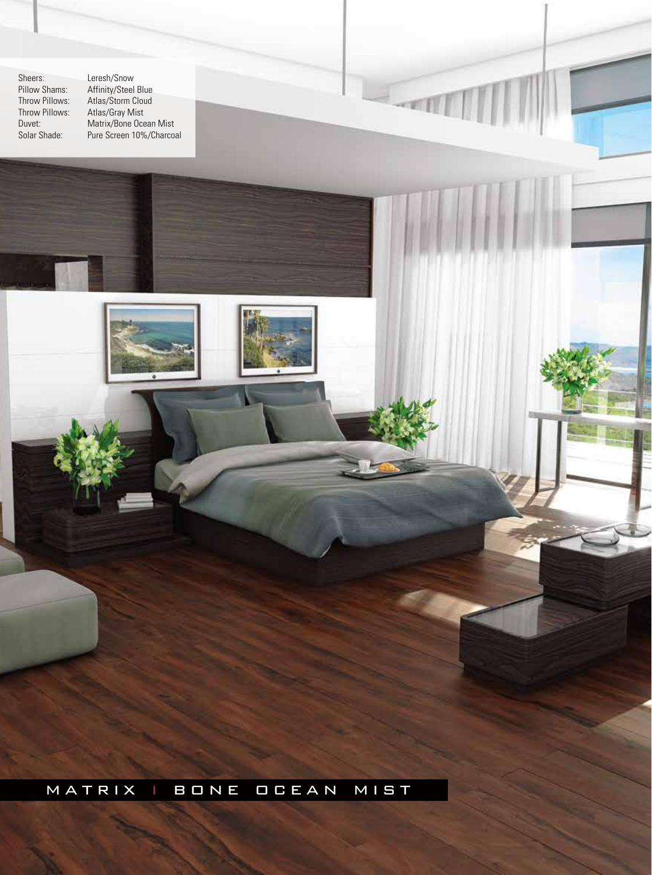Sheers: Leresh/Snow<br>Pillow Shams: Affinity/Steel Throw Pillows: Atlas/Gray Mist

Pillow Shams: Affinity/Steel Blue Throw Pillows: Atlas/Storm Cloud Duvet: Matrix/Bone Ocean Mist Solar Shade: Pure Screen 10%/Charcoal matrix i bone ocean mist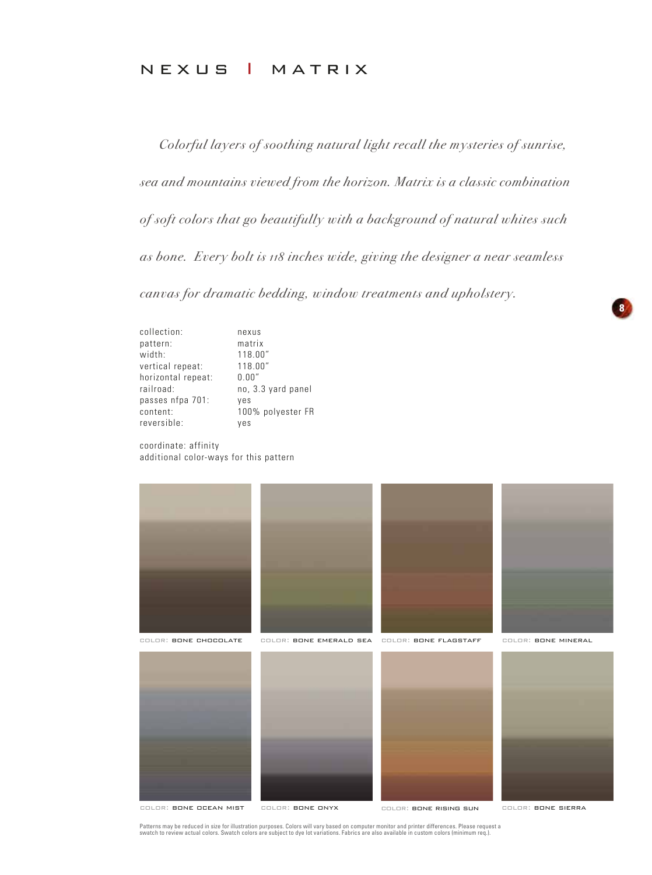## nexus I matrix

*Colorful layers of soothing natural light recall the mysteries of sunrise, sea and mountains viewed from the horizon. Matrix is a classic combination of soft colors that go beautifully with a background of natural whites such as bone. Every bolt is 118 inches wide, giving the designer a near seamless canvas for dramatic bedding, window treatments and upholstery.* 

| collection:        | nexus              |
|--------------------|--------------------|
| pattern:           | matrix             |
| width:             | 118.00"            |
| vertical repeat:   | 118.00"            |
| horizontal repeat: | 0.00"              |
| railroad:          | no, 3.3 yard panel |
| passes nfpa 701:   | yes                |
| content:           | 100% polyester FR  |
| reversible:        | yes                |
|                    |                    |

coordinate: affinity additional color-ways for this pattern



color: bone ocean mist

**8**

Patterns may be reduced in size for illustration purposes. Colors will vary based on computer monitor and printer differences. Please request a<br>swatch to review actual colors. Swatch colors are subject to dye lot variation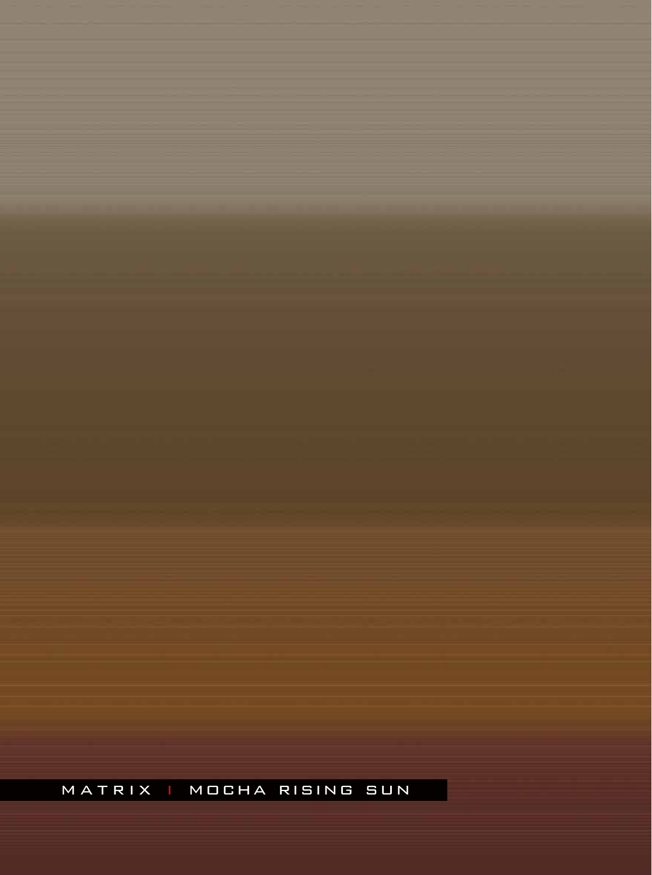## MATRIX | MOCHA RISING SUN